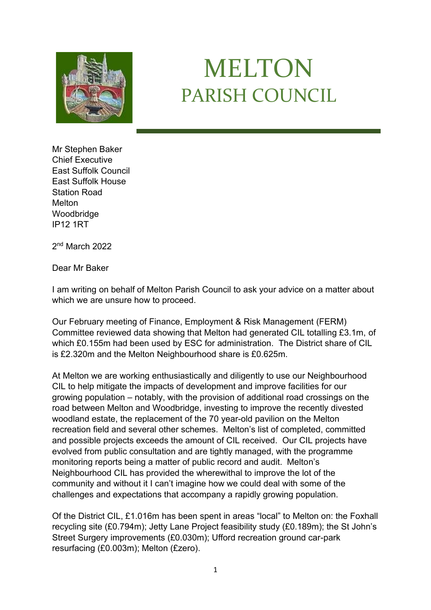

## MELTON PARISH COUNCIL

Mr Stephen Baker Chief Executive East Suffolk Council East Suffolk House Station Road Melton **Woodbridge** IP12 1RT

2<sup>nd</sup> March 2022

Dear Mr Baker

I am writing on behalf of Melton Parish Council to ask your advice on a matter about which we are unsure how to proceed.

Our February meeting of Finance, Employment & Risk Management (FERM) Committee reviewed data showing that Melton had generated CIL totalling £3.1m, of which £0.155m had been used by ESC for administration. The District share of CIL is £2.320m and the Melton Neighbourhood share is £0.625m.

At Melton we are working enthusiastically and diligently to use our Neighbourhood CIL to help mitigate the impacts of development and improve facilities for our growing population – notably, with the provision of additional road crossings on the road between Melton and Woodbridge, investing to improve the recently divested woodland estate, the replacement of the 70 year-old pavilion on the Melton recreation field and several other schemes. Melton's list of completed, committed and possible projects exceeds the amount of CIL received. Our CIL projects have evolved from public consultation and are tightly managed, with the programme monitoring reports being a matter of public record and audit. Melton's Neighbourhood CIL has provided the wherewithal to improve the lot of the community and without it I can't imagine how we could deal with some of the challenges and expectations that accompany a rapidly growing population.

Of the District CIL, £1.016m has been spent in areas "local" to Melton on: the Foxhall recycling site (£0.794m); Jetty Lane Project feasibility study (£0.189m); the St John's Street Surgery improvements (£0.030m); Ufford recreation ground car-park resurfacing (£0.003m); Melton (£zero).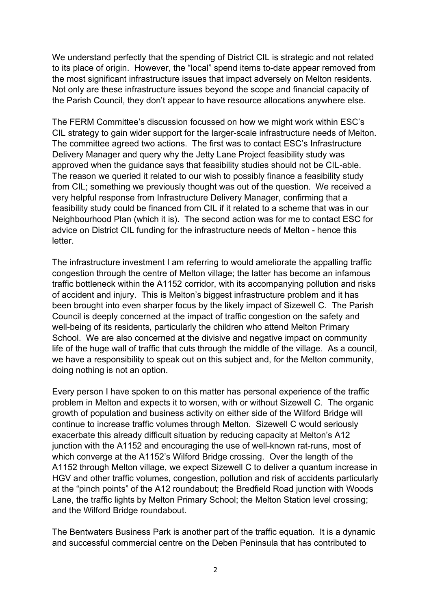We understand perfectly that the spending of District CIL is strategic and not related to its place of origin. However, the "local" spend items to-date appear removed from the most significant infrastructure issues that impact adversely on Melton residents. Not only are these infrastructure issues beyond the scope and financial capacity of the Parish Council, they don't appear to have resource allocations anywhere else.

The FERM Committee's discussion focussed on how we might work within ESC's CIL strategy to gain wider support for the larger-scale infrastructure needs of Melton. The committee agreed two actions. The first was to contact ESC's Infrastructure Delivery Manager and query why the Jetty Lane Project feasibility study was approved when the guidance says that feasibility studies should not be CIL-able. The reason we queried it related to our wish to possibly finance a feasibility study from CIL; something we previously thought was out of the question. We received a very helpful response from Infrastructure Delivery Manager, confirming that a feasibility study could be financed from CIL if it related to a scheme that was in our Neighbourhood Plan (which it is). The second action was for me to contact ESC for advice on District CIL funding for the infrastructure needs of Melton - hence this letter.

The infrastructure investment I am referring to would ameliorate the appalling traffic congestion through the centre of Melton village; the latter has become an infamous traffic bottleneck within the A1152 corridor, with its accompanying pollution and risks of accident and injury. This is Melton's biggest infrastructure problem and it has been brought into even sharper focus by the likely impact of Sizewell C. The Parish Council is deeply concerned at the impact of traffic congestion on the safety and well-being of its residents, particularly the children who attend Melton Primary School. We are also concerned at the divisive and negative impact on community life of the huge wall of traffic that cuts through the middle of the village. As a council, we have a responsibility to speak out on this subject and, for the Melton community, doing nothing is not an option.

Every person I have spoken to on this matter has personal experience of the traffic problem in Melton and expects it to worsen, with or without Sizewell C. The organic growth of population and business activity on either side of the Wilford Bridge will continue to increase traffic volumes through Melton. Sizewell C would seriously exacerbate this already difficult situation by reducing capacity at Melton's A12 junction with the A1152 and encouraging the use of well-known rat-runs, most of which converge at the A1152's Wilford Bridge crossing. Over the length of the A1152 through Melton village, we expect Sizewell C to deliver a quantum increase in HGV and other traffic volumes, congestion, pollution and risk of accidents particularly at the "pinch points" of the A12 roundabout; the Bredfield Road junction with Woods Lane, the traffic lights by Melton Primary School; the Melton Station level crossing; and the Wilford Bridge roundabout.

The Bentwaters Business Park is another part of the traffic equation. It is a dynamic and successful commercial centre on the Deben Peninsula that has contributed to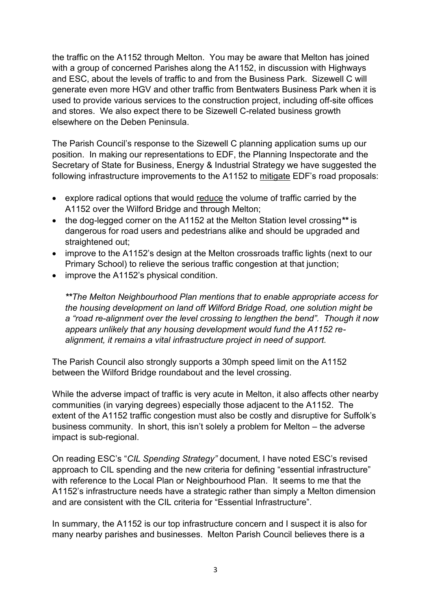the traffic on the A1152 through Melton. You may be aware that Melton has joined with a group of concerned Parishes along the A1152, in discussion with Highways and ESC, about the levels of traffic to and from the Business Park. Sizewell C will generate even more HGV and other traffic from Bentwaters Business Park when it is used to provide various services to the construction project, including off-site offices and stores. We also expect there to be Sizewell C-related business growth elsewhere on the Deben Peninsula.

The Parish Council's response to the Sizewell C planning application sums up our position. In making our representations to EDF, the Planning Inspectorate and the Secretary of State for Business, Energy & Industrial Strategy we have suggested the following infrastructure improvements to the A1152 to mitigate EDF's road proposals:

- explore radical options that would reduce the volume of traffic carried by the A1152 over the Wilford Bridge and through Melton;
- the dog-legged corner on the A1152 at the Melton Station level crossing*\*\** is dangerous for road users and pedestrians alike and should be upgraded and straightened out;
- improve to the A1152's design at the Melton crossroads traffic lights (next to our Primary School) to relieve the serious traffic congestion at that junction;
- improve the A1152's physical condition.

*\*\*The Melton Neighbourhood Plan mentions that to enable appropriate access for the housing development on land off Wilford Bridge Road, one solution might be a "road re-alignment over the level crossing to lengthen the bend". Though it now appears unlikely that any housing development would fund the A1152 realignment, it remains a vital infrastructure project in need of support.*

The Parish Council also strongly supports a 30mph speed limit on the A1152 between the Wilford Bridge roundabout and the level crossing.

While the adverse impact of traffic is very acute in Melton, it also affects other nearby communities (in varying degrees) especially those adjacent to the A1152. The extent of the A1152 traffic congestion must also be costly and disruptive for Suffolk's business community. In short, this isn't solely a problem for Melton – the adverse impact is sub-regional.

On reading ESC's "*CIL Spending Strategy"* document, I have noted ESC's revised approach to CIL spending and the new criteria for defining "essential infrastructure" with reference to the Local Plan or Neighbourhood Plan. It seems to me that the A1152's infrastructure needs have a strategic rather than simply a Melton dimension and are consistent with the CIL criteria for "Essential Infrastructure".

In summary, the A1152 is our top infrastructure concern and I suspect it is also for many nearby parishes and businesses. Melton Parish Council believes there is a